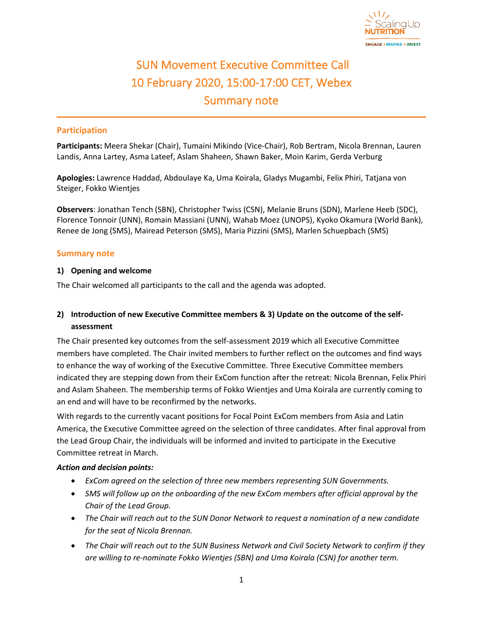

# SUN Movement Executive Committee Call 10 February 2020, 15:00-17:00 CET, Webex Summary note

### **Participation**

**Participants:** Meera Shekar (Chair), Tumaini Mikindo (Vice-Chair), Rob Bertram, Nicola Brennan, Lauren Landis, Anna Lartey, Asma Lateef, Aslam Shaheen, Shawn Baker, Moin Karim, Gerda Verburg

**Apologies:** Lawrence Haddad, Abdoulaye Ka, Uma Koirala, Gladys Mugambi, Felix Phiri, Tatjana von Steiger, Fokko Wientjes

**Observers**: Jonathan Tench (SBN), Christopher Twiss (CSN), Melanie Bruns (SDN), Marlene Heeb (SDC), Florence Tonnoir (UNN), Romain Massiani (UNN), Wahab Moez (UNOPS), Kyoko Okamura (World Bank), Renee de Jong (SMS), Mairead Peterson (SMS), Maria Pizzini (SMS), Marlen Schuepbach (SMS)

#### **Summary note**

#### **1) Opening and welcome**

The Chair welcomed all participants to the call and the agenda was adopted.

## **2) Introduction of new Executive Committee members & 3) Update on the outcome of the selfassessment**

The Chair presented key outcomes from the self-assessment 2019 which all Executive Committee members have completed. The Chair invited members to further reflect on the outcomes and find ways to enhance the way of working of the Executive Committee. Three Executive Committee members indicated they are stepping down from their ExCom function after the retreat: Nicola Brennan, Felix Phiri and Aslam Shaheen. The membership terms of Fokko Wientjes and Uma Koirala are currently coming to an end and will have to be reconfirmed by the networks.

With regards to the currently vacant positions for Focal Point ExCom members from Asia and Latin America, the Executive Committee agreed on the selection of three candidates. After final approval from the Lead Group Chair, the individuals will be informed and invited to participate in the Executive Committee retreat in March.

#### *Action and decision points:*

- *ExCom agreed on the selection of three new members representing SUN Governments.*
- *SMS will follow up on the onboarding of the new ExCom members after official approval by the Chair of the Lead Group.*
- *The Chair will reach out to the SUN Donor Network to request a nomination of a new candidate for the seat of Nicola Brennan.*
- *The Chair will reach out to the SUN Business Network and Civil Society Network to confirm if they are willing to re-nominate Fokko Wientjes (SBN) and Uma Koirala (CSN) for another term.*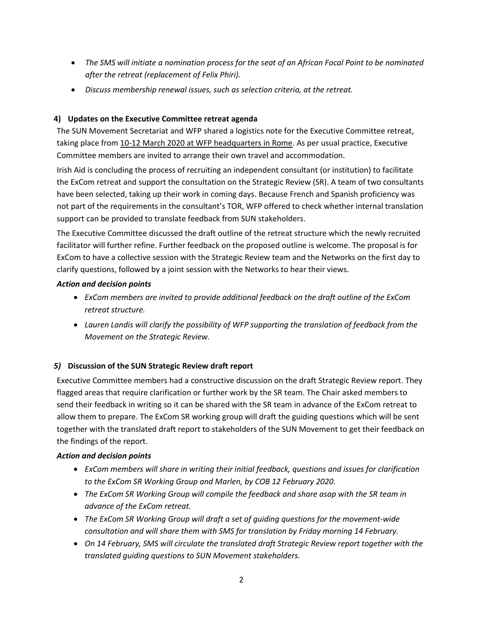- *The SMS will initiate a nomination process for the seat of an African Focal Point to be nominated after the retreat (replacement of Felix Phiri).*
- *Discuss membership renewal issues, such as selection criteria, at the retreat.*

# **4) Updates on the Executive Committee retreat agenda**

The SUN Movement Secretariat and WFP shared a logistics note for the Executive Committee retreat, taking place from 10-12 March 2020 at WFP headquarters in Rome. As per usual practice, Executive Committee members are invited to arrange their own travel and accommodation.

Irish Aid is concluding the process of recruiting an independent consultant (or institution) to facilitate the ExCom retreat and support the consultation on the Strategic Review (SR). A team of two consultants have been selected, taking up their work in coming days. Because French and Spanish proficiency was not part of the requirements in the consultant's TOR, WFP offered to check whether internal translation support can be provided to translate feedback from SUN stakeholders.

The Executive Committee discussed the draft outline of the retreat structure which the newly recruited facilitator will further refine. Further feedback on the proposed outline is welcome. The proposal is for ExCom to have a collective session with the Strategic Review team and the Networks on the first day to clarify questions, followed by a joint session with the Networks to hear their views.

# *Action and decision points*

- *ExCom members are invited to provide additional feedback on the draft outline of the ExCom retreat structure.*
- *Lauren Landis will clarify the possibility of WFP supporting the translation of feedback from the Movement on the Strategic Review.*

# *5)* **Discussion of the SUN Strategic Review draft report**

Executive Committee members had a constructive discussion on the draft Strategic Review report. They flagged areas that require clarification or further work by the SR team. The Chair asked members to send their feedback in writing so it can be shared with the SR team in advance of the ExCom retreat to allow them to prepare. The ExCom SR working group will draft the guiding questions which will be sent together with the translated draft report to stakeholders of the SUN Movement to get their feedback on the findings of the report.

## *Action and decision points*

- *ExCom members will share in writing their initial feedback, questions and issues for clarification to the ExCom SR Working Group and Marlen, by COB 12 February 2020.*
- *The ExCom SR Working Group will compile the feedback and share asap with the SR team in advance of the ExCom retreat.*
- *The ExCom SR Working Group will draft a set of guiding questions for the movement-wide consultation and will share them with SMS for translation by Friday morning 14 February.*
- *On 14 February, SMS will circulate the translated draft Strategic Review report together with the translated guiding questions to SUN Movement stakeholders.*